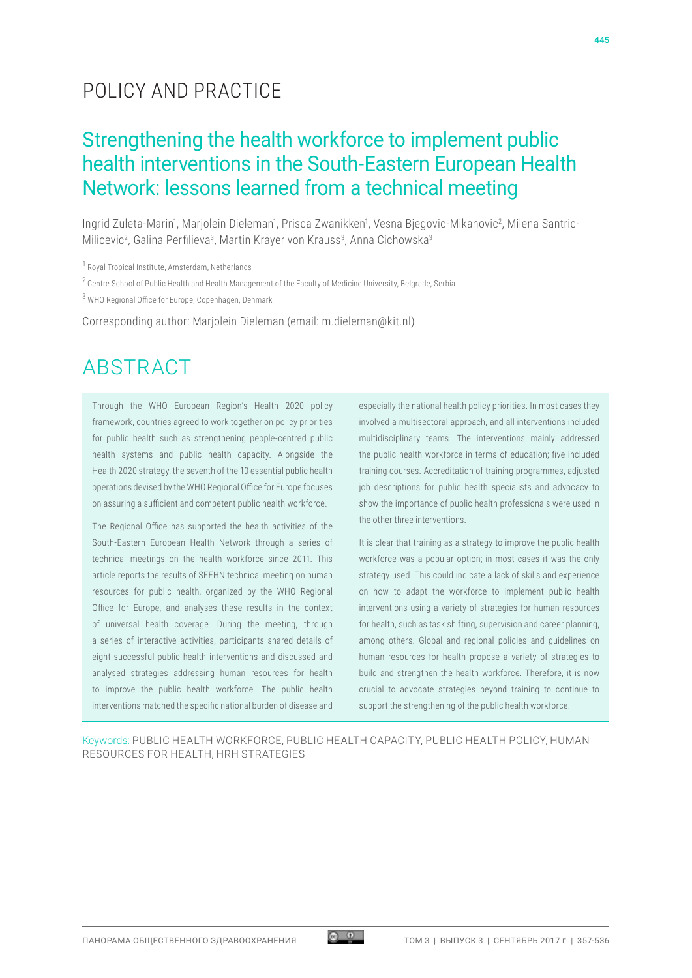### POLICY AND PRACTICE

### Strengthening the health workforce to implement public health interventions in the South-Eastern European Health Network: lessons learned from a technical meeting

Ingrid Zuleta-Marin<sup>1</sup>, Marjolein Dieleman<sup>1</sup>, Prisca Zwanikken<sup>1</sup>, Vesna Bjegovic-Mikanovic<sup>2</sup>, Milena Santric-Milicevic<sup>2</sup>, Galina Perfilieva<sup>3</sup>, Martin Krayer von Krauss<sup>3</sup>, Anna Cichowska<sup>3</sup>

<sup>2</sup> Centre School of Public Health and Health Management of the Faculty of Medicine University, Belgrade, Serbia

3 WHO Regional Office for Europe, Copenhagen, Denmark

Corresponding author: Marjolein Dieleman (email: m.dieleman@kit.nl)

### ABSTRACT

Through the WHO European Region's Health 2020 policy framework, countries agreed to work together on policy priorities for public health such as strengthening people-centred public health systems and public health capacity. Alongside the Health 2020 strategy, the seventh of the 10 essential public health operations devised by the WHO Regional Office for Europe focuses on assuring a sufficient and competent public health workforce.

The Regional Office has supported the health activities of the South-Eastern European Health Network through a series of technical meetings on the health workforce since 2011. This article reports the results of SEEHN technical meeting on human resources for public health, organized by the WHO Regional Office for Europe, and analyses these results in the context of universal health coverage. During the meeting, through a series of interactive activities, participants shared details of eight successful public health interventions and discussed and analysed strategies addressing human resources for health to improve the public health workforce. The public health interventions matched the specific national burden of disease and especially the national health policy priorities. In most cases they involved a multisectoral approach, and all interventions included multidisciplinary teams. The interventions mainly addressed the public health workforce in terms of education; five included training courses. Accreditation of training programmes, adjusted job descriptions for public health specialists and advocacy to show the importance of public health professionals were used in the other three interventions.

It is clear that training as a strategy to improve the public health workforce was a popular option; in most cases it was the only strategy used. This could indicate a lack of skills and experience on how to adapt the workforce to implement public health interventions using a variety of strategies for human resources for health, such as task shifting, supervision and career planning, among others. Global and regional policies and guidelines on human resources for health propose a variety of strategies to build and strengthen the health workforce. Therefore, it is now crucial to advocate strategies beyond training to continue to support the strengthening of the public health workforce.

Keywords: PUBLIC HEALTH WORKFORCE, PUBLIC HEALTH CAPACITY, PUBLIC HEALTH POLICY, HUMAN RESOURCES FOR HEALTH, HRH STRATEGIES

<sup>1</sup> Royal Tropical Institute, Amsterdam, Netherlands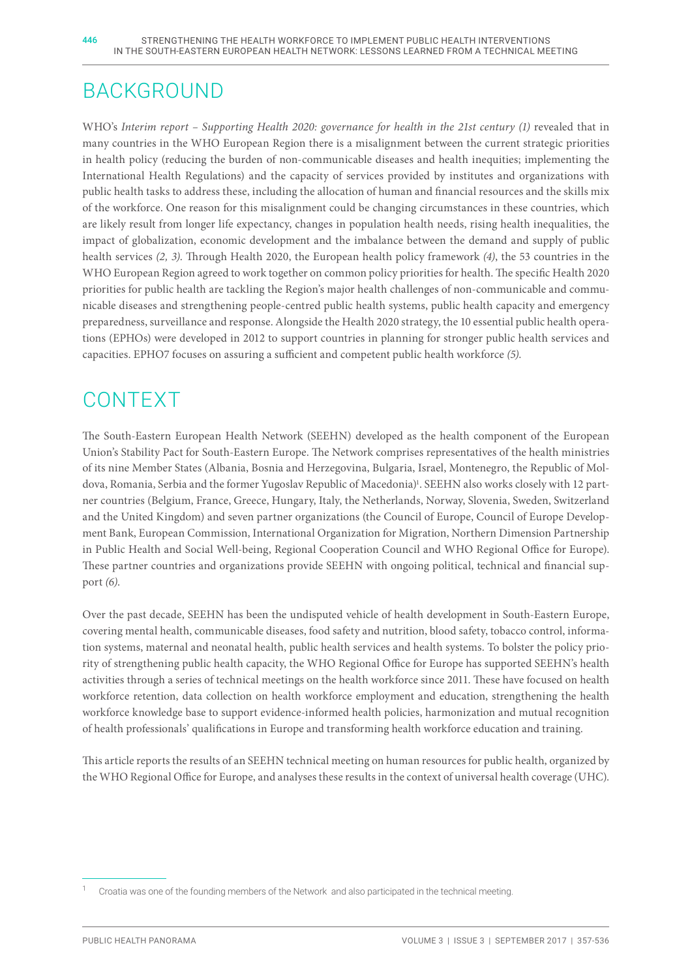## BACKGROUND

WHO's *Interim report – Supporting Health 2020: governance for health in the 21st century (1)* revealed that in many countries in the WHO European Region there is a misalignment between the current strategic priorities in health policy (reducing the burden of non-communicable diseases and health inequities; implementing the International Health Regulations) and the capacity of services provided by institutes and organizations with public health tasks to address these, including the allocation of human and financial resources and the skills mix of the workforce. One reason for this misalignment could be changing circumstances in these countries, which are likely result from longer life expectancy, changes in population health needs, rising health inequalities, the impact of globalization, economic development and the imbalance between the demand and supply of public health services *(2, 3)*. Through Health 2020, the European health policy framework *(4)*, the 53 countries in the WHO European Region agreed to work together on common policy priorities for health. The specific Health 2020 priorities for public health are tackling the Region's major health challenges of non-communicable and communicable diseases and strengthening people-centred public health systems, public health capacity and emergency preparedness, surveillance and response. Alongside the Health 2020 strategy, the 10 essential public health operations (EPHOs) were developed in 2012 to support countries in planning for stronger public health services and capacities. EPHO7 focuses on assuring a sufficient and competent public health workforce *(5)*.

# CONTEXT

The South-Eastern European Health Network (SEEHN) developed as the health component of the European Union's Stability Pact for South-Eastern Europe. The Network comprises representatives of the health ministries of its nine Member States (Albania, Bosnia and Herzegovina, Bulgaria, Israel, Montenegro, the Republic of Moldova, Romania, Serbia and the former Yugoslav Republic of Macedonia)<sup>1</sup>. SEEHN also works closely with 12 partner countries (Belgium, France, Greece, Hungary, Italy, the Netherlands, Norway, Slovenia, Sweden, Switzerland and the United Kingdom) and seven partner organizations (the Council of Europe, Council of Europe Development Bank, European Commission, International Organization for Migration, Northern Dimension Partnership in Public Health and Social Well-being, Regional Cooperation Council and WHO Regional Office for Europe). These partner countries and organizations provide SEEHN with ongoing political, technical and financial support *(6)*.

Over the past decade, SEEHN has been the undisputed vehicle of health development in South-Eastern Europe, covering mental health, communicable diseases, food safety and nutrition, blood safety, tobacco control, information systems, maternal and neonatal health, public health services and health systems. To bolster the policy priority of strengthening public health capacity, the WHO Regional Office for Europe has supported SEEHN's health activities through a series of technical meetings on the health workforce since 2011. These have focused on health workforce retention, data collection on health workforce employment and education, strengthening the health workforce knowledge base to support evidence-informed health policies, harmonization and mutual recognition of health professionals' qualifications in Europe and transforming health workforce education and training.

This article reports the results of an SEEHN technical meeting on human resources for public health, organized by the WHO Regional Office for Europe, and analyses these results in the context of universal health coverage (UHC).

Croatia was one of the founding members of the Network and also participated in the technical meeting.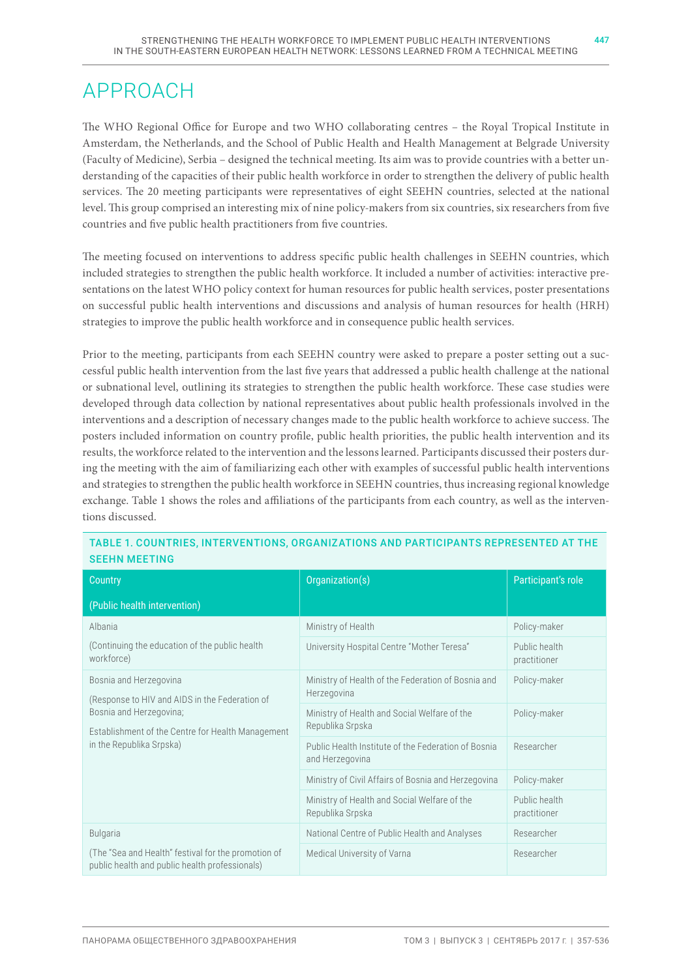### APPROACH

The WHO Regional Office for Europe and two WHO collaborating centres – the Royal Tropical Institute in Amsterdam, the Netherlands, and the School of Public Health and Health Management at Belgrade University (Faculty of Medicine), Serbia – designed the technical meeting. Its aim was to provide countries with a better understanding of the capacities of their public health workforce in order to strengthen the delivery of public health services. The 20 meeting participants were representatives of eight SEEHN countries, selected at the national level. This group comprised an interesting mix of nine policy-makers from six countries, six researchers from five countries and five public health practitioners from five countries.

The meeting focused on interventions to address specific public health challenges in SEEHN countries, which included strategies to strengthen the public health workforce. It included a number of activities: interactive presentations on the latest WHO policy context for human resources for public health services, poster presentations on successful public health interventions and discussions and analysis of human resources for health (HRH) strategies to improve the public health workforce and in consequence public health services.

Prior to the meeting, participants from each SEEHN country were asked to prepare a poster setting out a successful public health intervention from the last five years that addressed a public health challenge at the national or subnational level, outlining its strategies to strengthen the public health workforce. These case studies were developed through data collection by national representatives about public health professionals involved in the interventions and a description of necessary changes made to the public health workforce to achieve success. The posters included information on country profile, public health priorities, the public health intervention and its results, the workforce related to the intervention and the lessons learned. Participants discussed their posters during the meeting with the aim of familiarizing each other with examples of successful public health interventions and strategies to strengthen the public health workforce in SEEHN countries, thus increasing regional knowledge exchange. Table 1 shows the roles and affiliations of the participants from each country, as well as the interventions discussed.

| Country                                                                                                                                                                              | Organization(s)                                                        | Participant's role            |
|--------------------------------------------------------------------------------------------------------------------------------------------------------------------------------------|------------------------------------------------------------------------|-------------------------------|
| (Public health intervention)                                                                                                                                                         |                                                                        |                               |
| Albania<br>(Continuing the education of the public health<br>workforce)                                                                                                              | Ministry of Health                                                     | Policy-maker                  |
|                                                                                                                                                                                      | University Hospital Centre "Mother Teresa"                             | Public health<br>practitioner |
| Bosnia and Herzegovina<br>(Response to HIV and AIDS in the Federation of<br>Bosnia and Herzegovina;<br>Establishment of the Centre for Health Management<br>in the Republika Srpska) | Ministry of Health of the Federation of Bosnia and<br>Herzegovina      | Policy-maker                  |
|                                                                                                                                                                                      | Ministry of Health and Social Welfare of the<br>Republika Srpska       | Policy-maker                  |
|                                                                                                                                                                                      | Public Health Institute of the Federation of Bosnia<br>and Herzegovina | Researcher                    |
|                                                                                                                                                                                      | Ministry of Civil Affairs of Bosnia and Herzegovina                    | Policy-maker                  |
|                                                                                                                                                                                      | Ministry of Health and Social Welfare of the<br>Republika Srpska       | Public health<br>practitioner |
| <b>Bulgaria</b>                                                                                                                                                                      | National Centre of Public Health and Analyses                          | Researcher                    |
| (The "Sea and Health" festival for the promotion of<br>public health and public health professionals)                                                                                | Medical University of Varna                                            | Researcher                    |

#### TABLE 1. COUNTRIES, INTERVENTIONS, ORGANIZATIONS AND PARTICIPANTS REPRESENTED AT THE SEEHN MEETING

447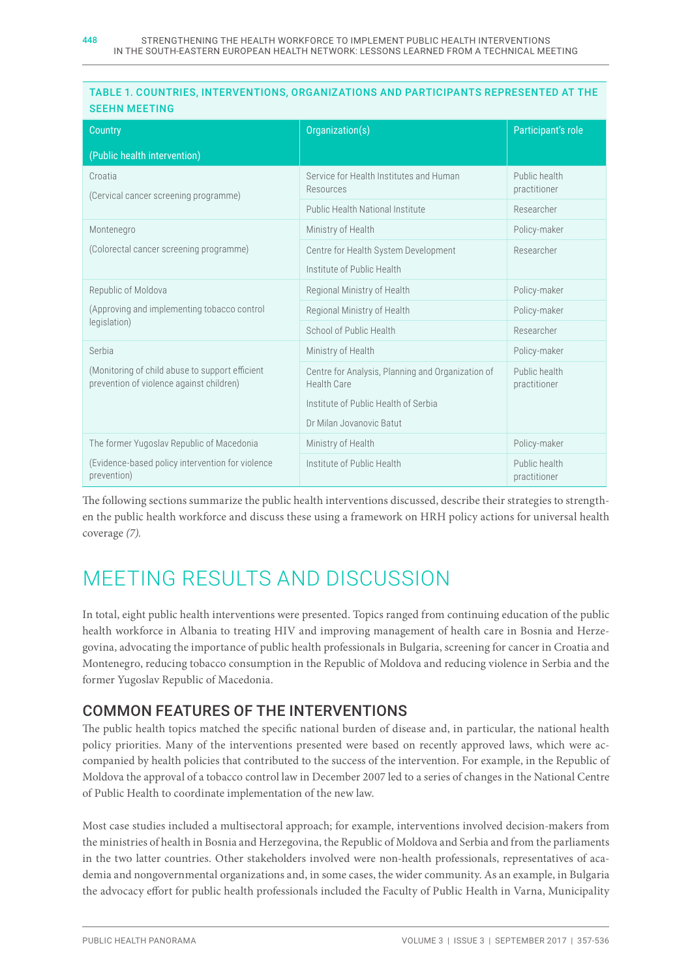#### TABLE 1. COUNTRIES, INTERVENTIONS, ORGANIZATIONS AND PARTICIPANTS REPRESENTED AT THE SEEHN MEETING

| <b>Country</b>                                                                              | Organization(s)                                                         | Participant's role            |
|---------------------------------------------------------------------------------------------|-------------------------------------------------------------------------|-------------------------------|
| (Public health intervention)                                                                |                                                                         |                               |
| Croatia<br>(Cervical cancer screening programme)                                            | Service for Health Institutes and Human<br>Resources                    | Public health<br>practitioner |
|                                                                                             | <b>Public Health National Institute</b>                                 | Researcher                    |
| Montenegro<br>(Colorectal cancer screening programme)                                       | Ministry of Health                                                      | Policy-maker                  |
|                                                                                             | Centre for Health System Development                                    | Researcher                    |
|                                                                                             | Institute of Public Health                                              |                               |
| Republic of Moldova                                                                         | Regional Ministry of Health                                             | Policy-maker                  |
| (Approving and implementing tobacco control<br>legislation)                                 | Regional Ministry of Health                                             | Policy-maker                  |
|                                                                                             | School of Public Health                                                 | Researcher                    |
| Serbia                                                                                      | Ministry of Health                                                      | Policy-maker                  |
| (Monitoring of child abuse to support efficient<br>prevention of violence against children) | Centre for Analysis, Planning and Organization of<br><b>Health Care</b> | Public health<br>practitioner |
|                                                                                             | Institute of Public Health of Serbia                                    |                               |
|                                                                                             | Dr Milan Jovanovic Batut                                                |                               |
| The former Yugoslav Republic of Macedonia                                                   | Ministry of Health                                                      | Policy-maker                  |
| (Evidence-based policy intervention for violence<br>prevention)                             | Institute of Public Health                                              | Public health<br>practitioner |

The following sections summarize the public health interventions discussed, describe their strategies to strengthen the public health workforce and discuss these using a framework on HRH policy actions for universal health coverage *(7).*

# MEETING RESULTS AND DISCUSSION

In total, eight public health interventions were presented. Topics ranged from continuing education of the public health workforce in Albania to treating HIV and improving management of health care in Bosnia and Herzegovina, advocating the importance of public health professionals in Bulgaria, screening for cancer in Croatia and Montenegro, reducing tobacco consumption in the Republic of Moldova and reducing violence in Serbia and the former Yugoslav Republic of Macedonia.

### COMMON FEATURES OF THE INTERVENTIONS

The public health topics matched the specific national burden of disease and, in particular, the national health policy priorities. Many of the interventions presented were based on recently approved laws, which were accompanied by health policies that contributed to the success of the intervention. For example, in the Republic of Moldova the approval of a tobacco control law in December 2007 led to a series of changes in the National Centre of Public Health to coordinate implementation of the new law.

Most case studies included a multisectoral approach; for example, interventions involved decision-makers from the ministries of health in Bosnia and Herzegovina, the Republic of Moldova and Serbia and from the parliaments in the two latter countries. Other stakeholders involved were non-health professionals, representatives of academia and nongovernmental organizations and, in some cases, the wider community. As an example, in Bulgaria the advocacy effort for public health professionals included the Faculty of Public Health in Varna, Municipality

448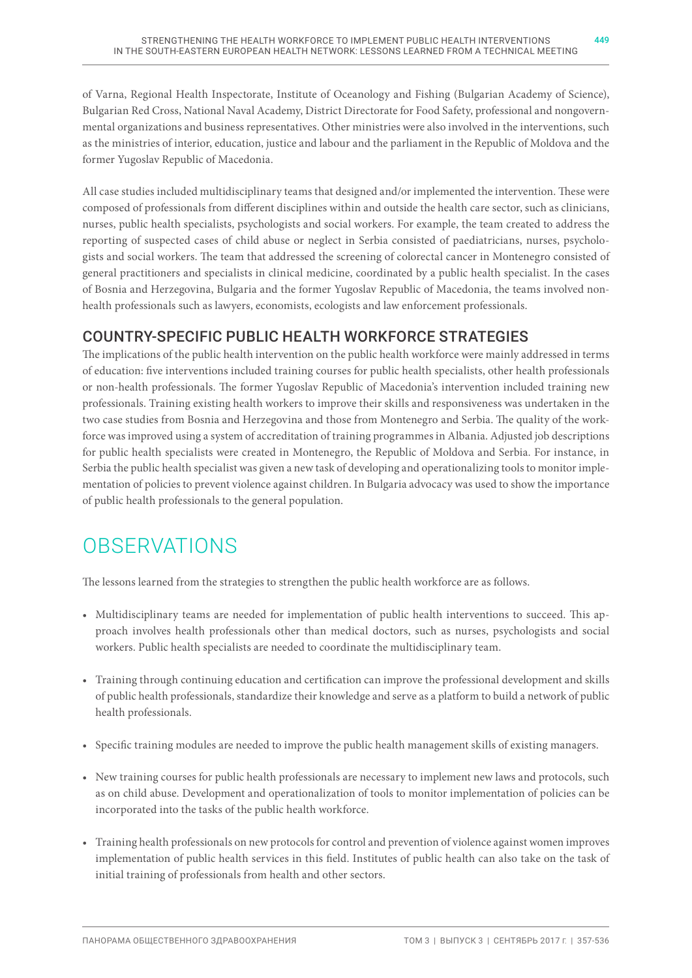of Varna, Regional Health Inspectorate, Institute of Oceanology and Fishing (Bulgarian Academy of Science), Bulgarian Red Cross, National Naval Academy, District Directorate for Food Safety, professional and nongovernmental organizations and business representatives. Other ministries were also involved in the interventions, such as the ministries of interior, education, justice and labour and the parliament in the Republic of Moldova and the former Yugoslav Republic of Macedonia.

All case studies included multidisciplinary teams that designed and/or implemented the intervention. These were composed of professionals from different disciplines within and outside the health care sector, such as clinicians, nurses, public health specialists, psychologists and social workers. For example, the team created to address the reporting of suspected cases of child abuse or neglect in Serbia consisted of paediatricians, nurses, psychologists and social workers. The team that addressed the screening of colorectal cancer in Montenegro consisted of general practitioners and specialists in clinical medicine, coordinated by a public health specialist. In the cases of Bosnia and Herzegovina, Bulgaria and the former Yugoslav Republic of Macedonia, the teams involved nonhealth professionals such as lawyers, economists, ecologists and law enforcement professionals.

### COUNTRY-SPECIFIC PUBLIC HEALTH WORKFORCE STRATEGIES

The implications of the public health intervention on the public health workforce were mainly addressed in terms of education: five interventions included training courses for public health specialists, other health professionals or non-health professionals. The former Yugoslav Republic of Macedonia's intervention included training new professionals. Training existing health workers to improve their skills and responsiveness was undertaken in the two case studies from Bosnia and Herzegovina and those from Montenegro and Serbia. The quality of the workforce was improved using a system of accreditation of training programmes in Albania. Adjusted job descriptions for public health specialists were created in Montenegro, the Republic of Moldova and Serbia. For instance, in Serbia the public health specialist was given a new task of developing and operationalizing tools to monitor implementation of policies to prevent violence against children. In Bulgaria advocacy was used to show the importance of public health professionals to the general population.

# **OBSERVATIONS**

The lessons learned from the strategies to strengthen the public health workforce are as follows.

- Multidisciplinary teams are needed for implementation of public health interventions to succeed. This approach involves health professionals other than medical doctors, such as nurses, psychologists and social workers. Public health specialists are needed to coordinate the multidisciplinary team.
- Training through continuing education and certification can improve the professional development and skills of public health professionals, standardize their knowledge and serve as a platform to build a network of public health professionals.
- Specific training modules are needed to improve the public health management skills of existing managers.
- New training courses for public health professionals are necessary to implement new laws and protocols, such as on child abuse. Development and operationalization of tools to monitor implementation of policies can be incorporated into the tasks of the public health workforce.
- Training health professionals on new protocols for control and prevention of violence against women improves implementation of public health services in this field. Institutes of public health can also take on the task of initial training of professionals from health and other sectors.

ПАНОРАМА ОБЩЕСТВЕННОГО ЗДРАВООХРАНЕНИЯ ТОМ 3 | ВЫПУСК 3 | СЕНТЯБРЬ 2017 Г. | 357-536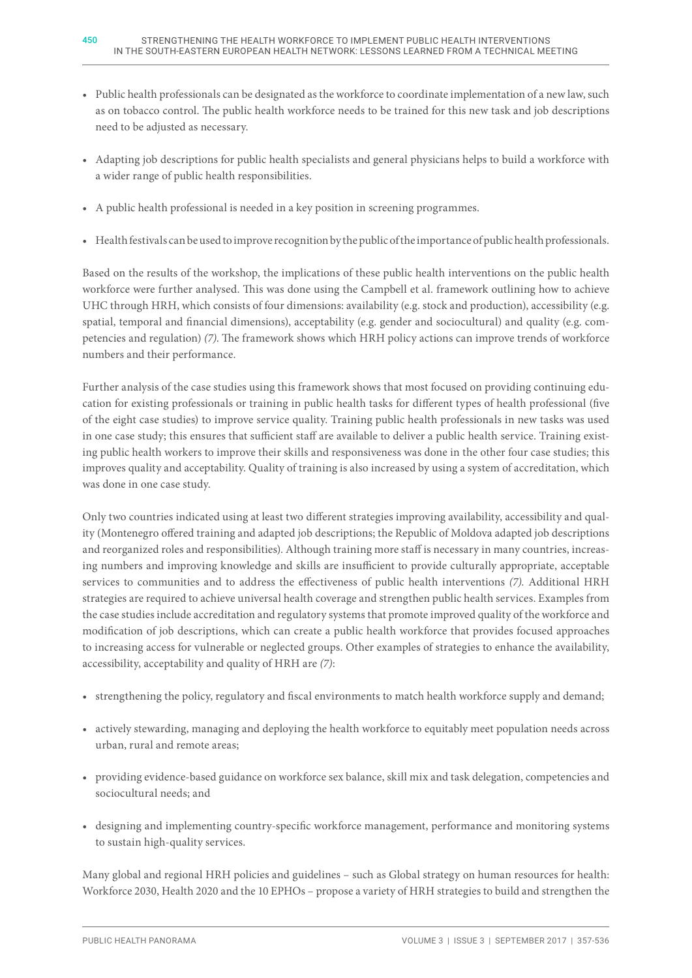- Public health professionals can be designated as the workforce to coordinate implementation of a new law, such as on tobacco control. The public health workforce needs to be trained for this new task and job descriptions need to be adjusted as necessary.
- Adapting job descriptions for public health specialists and general physicians helps to build a workforce with a wider range of public health responsibilities.
- A public health professional is needed in a key position in screening programmes.
- Health festivals can be used to improve recognition by the public of the importance of public health professionals.

Based on the results of the workshop, the implications of these public health interventions on the public health workforce were further analysed. This was done using the Campbell et al. framework outlining how to achieve UHC through HRH, which consists of four dimensions: availability (e.g. stock and production), accessibility (e.g. spatial, temporal and financial dimensions), acceptability (e.g. gender and sociocultural) and quality (e.g. competencies and regulation) *(7)*. The framework shows which HRH policy actions can improve trends of workforce numbers and their performance.

Further analysis of the case studies using this framework shows that most focused on providing continuing education for existing professionals or training in public health tasks for different types of health professional (five of the eight case studies) to improve service quality. Training public health professionals in new tasks was used in one case study; this ensures that sufficient staff are available to deliver a public health service. Training existing public health workers to improve their skills and responsiveness was done in the other four case studies; this improves quality and acceptability. Quality of training is also increased by using a system of accreditation, which was done in one case study.

Only two countries indicated using at least two different strategies improving availability, accessibility and quality (Montenegro offered training and adapted job descriptions; the Republic of Moldova adapted job descriptions and reorganized roles and responsibilities). Although training more staff is necessary in many countries, increasing numbers and improving knowledge and skills are insufficient to provide culturally appropriate, acceptable services to communities and to address the effectiveness of public health interventions *(7).* Additional HRH strategies are required to achieve universal health coverage and strengthen public health services. Examples from the case studies include accreditation and regulatory systems that promote improved quality of the workforce and modification of job descriptions, which can create a public health workforce that provides focused approaches to increasing access for vulnerable or neglected groups. Other examples of strategies to enhance the availability, accessibility, acceptability and quality of HRH are *(7)*:

- strengthening the policy, regulatory and fiscal environments to match health workforce supply and demand;
- actively stewarding, managing and deploying the health workforce to equitably meet population needs across urban, rural and remote areas;
- providing evidence-based guidance on workforce sex balance, skill mix and task delegation, competencies and sociocultural needs; and
- designing and implementing country-specific workforce management, performance and monitoring systems to sustain high-quality services.

Many global and regional HRH policies and guidelines – such as Global strategy on human resources for health: Workforce 2030, Health 2020 and the 10 EPHOs – propose a variety of HRH strategies to build and strengthen the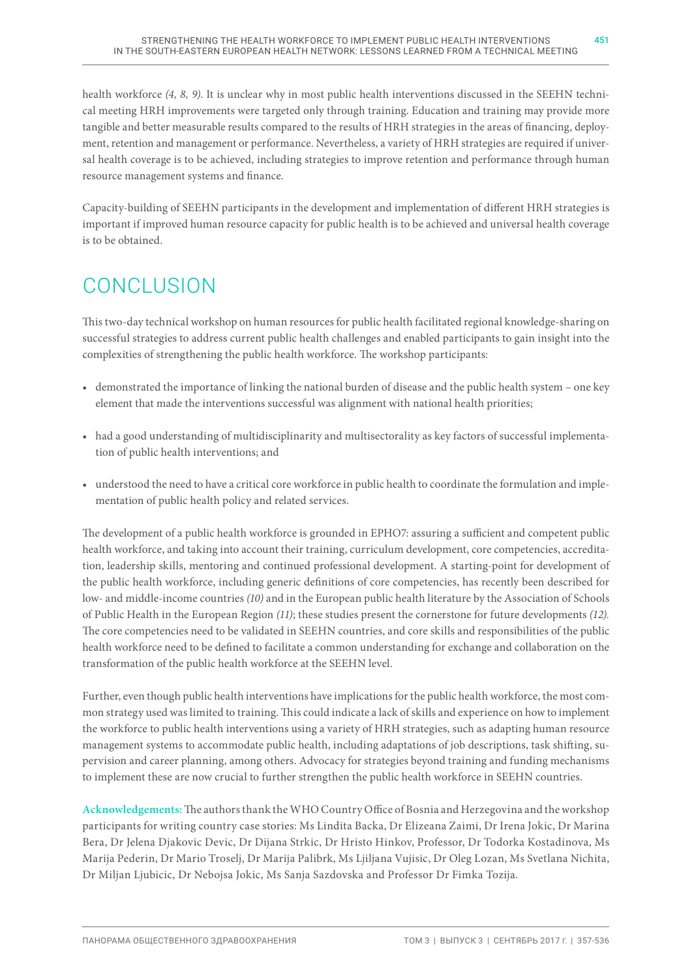health workforce *(4, 8, 9)*. It is unclear why in most public health interventions discussed in the SEEHN technical meeting HRH improvements were targeted only through training. Education and training may provide more tangible and better measurable results compared to the results of HRH strategies in the areas of financing, deployment, retention and management or performance. Nevertheless, a variety of HRH strategies are required if universal health coverage is to be achieved, including strategies to improve retention and performance through human resource management systems and finance.

Capacity-building of SEEHN participants in the development and implementation of different HRH strategies is important if improved human resource capacity for public health is to be achieved and universal health coverage is to be obtained.

# **CONCLUSION**

This two-day technical workshop on human resources for public health facilitated regional knowledge-sharing on successful strategies to address current public health challenges and enabled participants to gain insight into the complexities of strengthening the public health workforce. The workshop participants:

- demonstrated the importance of linking the national burden of disease and the public health system one key element that made the interventions successful was alignment with national health priorities;
- had a good understanding of multidisciplinarity and multisectorality as key factors of successful implementation of public health interventions; and
- understood the need to have a critical core workforce in public health to coordinate the formulation and implementation of public health policy and related services.

The development of a public health workforce is grounded in EPHO7: assuring a sufficient and competent public health workforce, and taking into account their training, curriculum development, core competencies, accreditation, leadership skills, mentoring and continued professional development. A starting-point for development of the public health workforce, including generic definitions of core competencies, has recently been described for low- and middle-income countries *(10)* and in the European public health literature by the Association of Schools of Public Health in the European Region *(11)*; these studies present the cornerstone for future developments *(12).* The core competencies need to be validated in SEEHN countries, and core skills and responsibilities of the public health workforce need to be defined to facilitate a common understanding for exchange and collaboration on the transformation of the public health workforce at the SEEHN level.

Further, even though public health interventions have implications for the public health workforce, the most common strategy used was limited to training. This could indicate a lack of skills and experience on how to implement the workforce to public health interventions using a variety of HRH strategies, such as adapting human resource management systems to accommodate public health, including adaptations of job descriptions, task shifting, supervision and career planning, among others. Advocacy for strategies beyond training and funding mechanisms to implement these are now crucial to further strengthen the public health workforce in SEEHN countries.

**Acknowledgements:**The authors thank the WHO Country Office of Bosnia and Herzegovina and the workshop participants for writing country case stories: Ms Lindita Backa, Dr Elizeana Zaimi, Dr Irena Jokic, Dr Marina Bera, Dr Jelena Djakovic Devic, Dr Dijana Strkic, Dr Hristo Hinkov, Professor, Dr Todorka Kostadinova, Ms Marija Pederin, Dr Mario Troselj, Dr Marija Palibrk, Ms Ljiljana Vujisic, Dr Oleg Lozan, Ms Svetlana Nichita, Dr Miljan Ljubicic, Dr Nebojsa Jokic, Ms Sanja Sazdovska and Professor Dr Fimka Tozija.

451